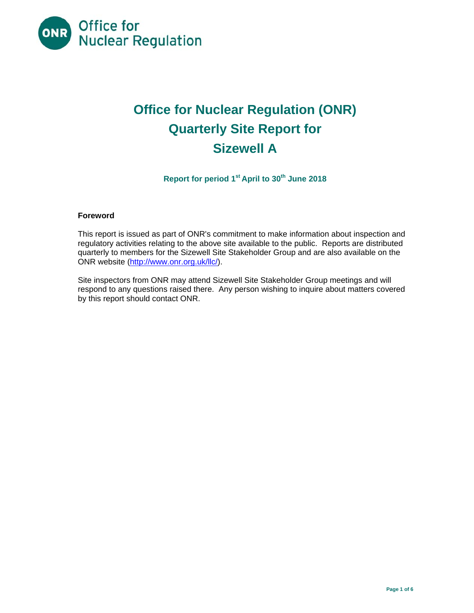

# **Office for Nuclear Regulation (ONR) Quarterly Site Report for Sizewell A**

**Report for period 1st April to 30th June 2018** 

## **Foreword**

This report is issued as part of ONR's commitment to make information about inspection and regulatory activities relating to the above site available to the public. Reports are distributed quarterly to members for the Sizewell Site Stakeholder Group and are also available on the ONR website (http://www.onr.org.uk/llc/).

Site inspectors from ONR may attend Sizewell Site Stakeholder Group meetings and will respond to any questions raised there. Any person wishing to inquire about matters covered by this report should contact ONR.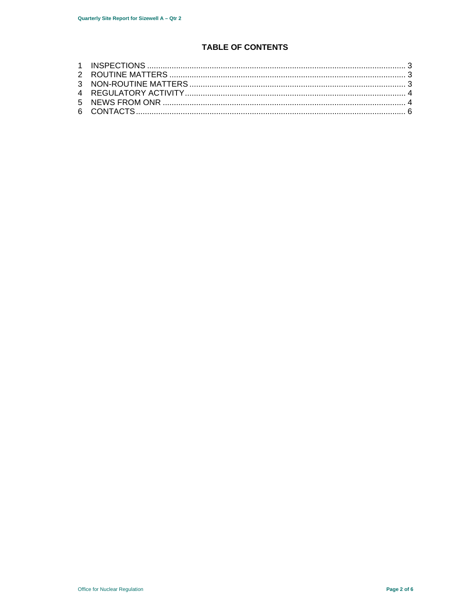## **TABLE OF CONTENTS**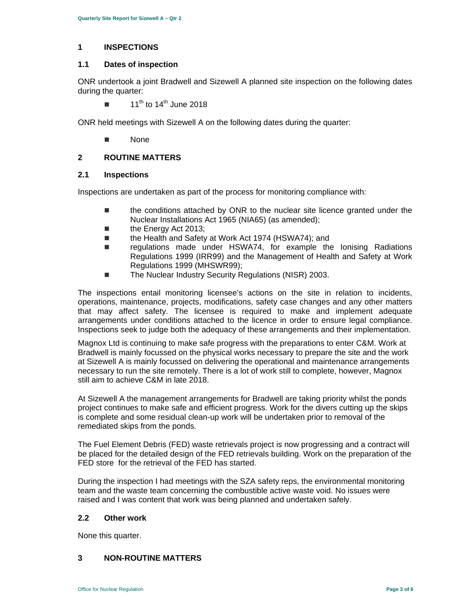## **1 INSPECTIONS**

## **1.1 Dates of inspection**

ONR undertook a joint Bradwell and Sizewell A planned site inspection on the following dates during the quarter:

 $\blacksquare$  11<sup>th</sup> to 14<sup>th</sup> June 2018

ONR held meetings with Sizewell A on the following dates during the quarter:

None

## **2 ROUTINE MATTERS**

#### **2.1 Inspections**

Inspections are undertaken as part of the process for monitoring compliance with:

- $\blacksquare$  the conditions attached by ONR to the nuclear site licence granted under the Nuclear Installations Act 1965 (NIA65) (as amended);
- the Energy Act 2013;
- the Health and Safety at Work Act 1974 (HSWA74); and
- regulations made under HSWA74, for example the Ionising Radiations Regulations 1999 (IRR99) and the Management of Health and Safety at Work Regulations 1999 (MHSWR99);
- The Nuclear Industry Security Regulations (NISR) 2003.

The inspections entail monitoring licensee's actions on the site in relation to incidents, operations, maintenance, projects, modifications, safety case changes and any other matters that may affect safety. The licensee is required to make and implement adequate arrangements under conditions attached to the licence in order to ensure legal compliance. Inspections seek to judge both the adequacy of these arrangements and their implementation.

Magnox Ltd is continuing to make safe progress with the preparations to enter C&M. Work at Bradwell is mainly focussed on the physical works necessary to prepare the site and the work at Sizewell A is mainly focussed on delivering the operational and maintenance arrangements necessary to run the site remotely. There is a lot of work still to complete, however, Magnox still aim to achieve C&M in late 2018.

At Sizewell A the management arrangements for Bradwell are taking priority whilst the ponds project continues to make safe and efficient progress. Work for the divers cutting up the skips is complete and some residual clean-up work will be undertaken prior to removal of the remediated skips from the ponds.

The Fuel Element Debris (FED) waste retrievals project is now progressing and a contract will be placed for the detailed design of the FED retrievals building. Work on the preparation of the FED store for the retrieval of the FED has started.

During the inspection I had meetings with the SZA safety reps, the environmental monitoring team and the waste team concerning the combustible active waste void. No issues were raised and I was content that work was being planned and undertaken safely.

#### **2.2 Other work**

None this quarter.

## **3 NON-ROUTINE MATTERS**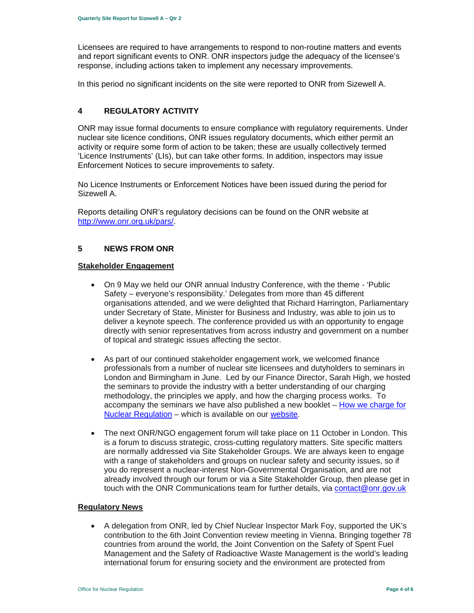Licensees are required to have arrangements to respond to non-routine matters and events and report significant events to ONR. ONR inspectors judge the adequacy of the licensee's response, including actions taken to implement any necessary improvements.

In this period no significant incidents on the site were reported to ONR from Sizewell A.

## **4 REGULATORY ACTIVITY**

ONR may issue formal documents to ensure compliance with regulatory requirements. Under nuclear site licence conditions, ONR issues regulatory documents, which either permit an activity or require some form of action to be taken; these are usually collectively termed 'Licence Instruments' (LIs), but can take other forms. In addition, inspectors may issue Enforcement Notices to secure improvements to safety.

No Licence Instruments or Enforcement Notices have been issued during the period for Sizewell A.

Reports detailing ONR's regulatory decisions can be found on the ONR website at http://www.onr.org.uk/pars/.

### **5 NEWS FROM ONR**

#### **Stakeholder Engagement**

- On 9 May we held our ONR annual Industry Conference, with the theme 'Public Safety – everyone's responsibility.' Delegates from more than 45 different organisations attended, and we were delighted that Richard Harrington, Parliamentary under Secretary of State, Minister for Business and Industry, was able to join us to deliver a keynote speech. The conference provided us with an opportunity to engage directly with senior representatives from across industry and government on a number of topical and strategic issues affecting the sector.
- As part of our continued stakeholder engagement work, we welcomed finance professionals from a number of nuclear site licensees and dutyholders to seminars in London and Birmingham in June. Led by our Finance Director, Sarah High, we hosted the seminars to provide the industry with a better understanding of our charging methodology, the principles we apply, and how the charging process works. To accompany the seminars we have also published a new booklet – How we charge for Nuclear Regulation – which is available on our website.
- The next ONR/NGO engagement forum will take place on 11 October in London. This is a forum to discuss strategic, cross-cutting regulatory matters. Site specific matters are normally addressed via Site Stakeholder Groups. We are always keen to engage with a range of stakeholders and groups on nuclear safety and security issues, so if you do represent a nuclear-interest Non-Governmental Organisation, and are not already involved through our forum or via a Site Stakeholder Group, then please get in touch with the ONR Communications team for further details, via contact@onr.gov.uk

#### **Regulatory News**

 A delegation from ONR, led by Chief Nuclear Inspector Mark Foy, supported the UK's contribution to the 6th Joint Convention review meeting in Vienna. Bringing together 78 countries from around the world, the Joint Convention on the Safety of Spent Fuel Management and the Safety of Radioactive Waste Management is the world's leading international forum for ensuring society and the environment are protected from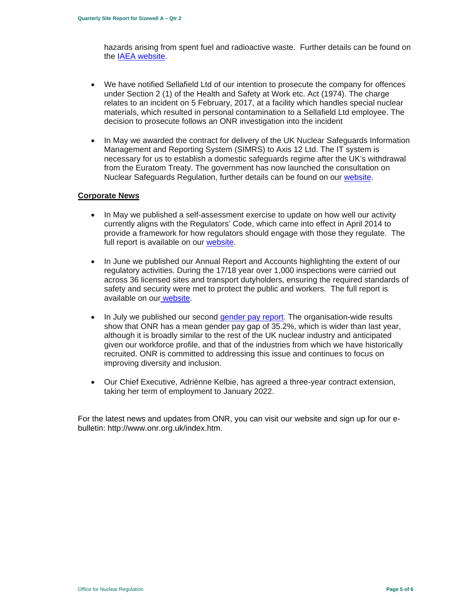hazards arising from spent fuel and radioactive waste. Further details can be found on the IAEA website.

- We have notified Sellafield Ltd of our intention to prosecute the company for offences under Section 2 (1) of the Health and Safety at Work etc. Act (1974). The charge relates to an incident on 5 February, 2017, at a facility which handles special nuclear materials, which resulted in personal contamination to a Sellafield Ltd employee. The decision to prosecute follows an ONR investigation into the incident
- In May we awarded the contract for delivery of the UK Nuclear Safeguards Information Management and Reporting System (SIMRS) to Axis 12 Ltd. The IT system is necessary for us to establish a domestic safeguards regime after the UK's withdrawal from the Euratom Treaty. The government has now launched the consultation on Nuclear Safeguards Regulation, further details can be found on our website.

#### **Corporate News**

- In May we published a self-assessment exercise to update on how well our activity currently aligns with the Regulators' Code, which came into effect in April 2014 to provide a framework for how regulators should engage with those they regulate. The full report is available on our website.
- In June we published our Annual Report and Accounts highlighting the extent of our regulatory activities. During the 17/18 year over 1,000 inspections were carried out across 36 licensed sites and transport dutyholders, ensuring the required standards of safety and security were met to protect the public and workers. The full report is available on our website.
- In July we published our second gender pay report. The organisation-wide results show that ONR has a mean gender pay gap of 35.2%, which is wider than last year, although it is broadly similar to the rest of the UK nuclear industry and anticipated given our workforce profile, and that of the industries from which we have historically recruited. ONR is committed to addressing this issue and continues to focus on improving diversity and inclusion.
- Our Chief Executive, Adriènne Kelbie, has agreed a three-year contract extension, taking her term of employment to January 2022.

For the latest news and updates from ONR, you can visit our website and sign up for our ebulletin: http://www.onr.org.uk/index.htm.